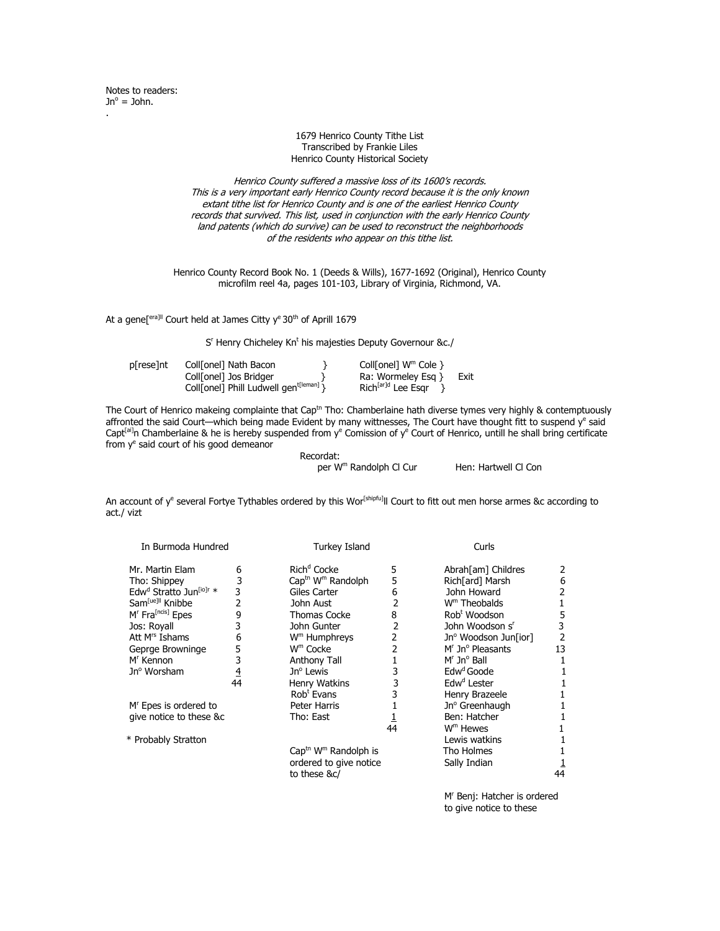## 1679 Henrico County Tithe List Transcribed by Frankie Liles Henrico County Historical Society

Henrico County suffered a massive loss of its 1600's records. This is a very important early Henrico County record because it is the only known extant tithe list for Henrico County and is one of the earliest Henrico County records that survived. This list, used in conjunction with the early Henrico County land patents (which do survive) can be used to reconstruct the neighborhoods of the residents who appear on this tithe list.

Henrico County Record Book No. 1 (Deeds & Wills), 1677-1692 (Original), Henrico County microfilm reel 4a, pages 101-103, Library of Virginia, Richmond, VA.

At a gene[<sup>era]||</sup> Court held at James Citty y<sup>e</sup> 30<sup>th</sup> of Aprill 1679

 S <sup>r</sup> Henry Chicheley Kn<sup>t</sup> his majesties Deputy Governour &c./

| p[rese]nt | Coll[onel] Nath Bacon                              | Coll[onel] $W^m$ Cole $\}$     |      |
|-----------|----------------------------------------------------|--------------------------------|------|
|           | Coll[onel] Jos Bridger                             | Ra: Wormeley Esg $\}$          | Exit |
|           | Coll[onel] Phill Ludwell gen <sup>t[leman]</sup> } | Rich <sup>[ar]d</sup> Lee Esar |      |

The Court of Henrico makeing complainte that Cap<sup>tn</sup> Tho: Chamberlaine hath diverse tymes very highly & contemptuously affronted the said Court—which being made Evident by many wittnesses, The Court have thought fitt to suspend  $y^e$  said Capt<sup>[ai]</sup>n Chamberlaine & he is hereby suspended from y<sup>e</sup> Comission of y<sup>e</sup> Court of Henrico, untill he shall bring certificate from y<sup>e</sup> said court of his good demeanor

Recordat:

per W<sup>m</sup> Randolph Cl Cur Hen: Hartwell Cl Con

An account of y<sup>e</sup> several Fortye Tythables ordered by this Wor<sup>[shipfu]</sup>ll Court to fitt out men horse armes &c according to act./ vizt

| In Burmoda Hundred                              |                | Turkey Island                                |    | Curls                          |    |
|-------------------------------------------------|----------------|----------------------------------------------|----|--------------------------------|----|
| Mr. Martin Elam                                 | 6              | Rich <sup>d</sup> Cocke                      | 5  | Abrah[am] Childres             | 2  |
| Tho: Shippey                                    | 3              | Cap <sup>th</sup> W <sup>m</sup> Randolph    | 5  | Rich[ard] Marsh                | 6  |
| Edw <sup>d</sup> Stratto Jun <sup>[io]r</sup> * | 3              | Giles Carter                                 | 6  | John Howard                    |    |
| Sam <sup>[ue]  </sup> Knibbe                    | 2              | John Aust                                    | 2  | W <sup>m</sup> Theobalds       |    |
| M <sup>r</sup> Fra <sup>[ncis]</sup> Epes       | 9              | Thomas Cocke                                 | 8  | Rob <sup>t</sup> Woodson       | 5  |
| Jos: Royall                                     | 3              | John Gunter                                  | 2  | John Woodson s'                | 3  |
| Att M <sup>rs</sup> Ishams                      | 6              | W <sup>m</sup> Humphreys                     | 2  | Jnº Woodson Jun[ior]           | 2  |
| Geprge Browninge                                | 5              | $Wm$ Cocke                                   | 2  | $Mr$ Jn <sup>o</sup> Pleasants | 13 |
| M <sup>r</sup> Kennon                           | 3              | Anthony Tall                                 |    | $Mr$ Jn <sup>o</sup> Ball      |    |
| Jn <sup>o</sup> Worsham                         | $\overline{4}$ | $Jno$ Lewis                                  | 3  | Edw <sup>d</sup> Goode         |    |
|                                                 | 44             | Henry Watkins                                | 3  | Edw <sup>d</sup> Lester        |    |
|                                                 |                | Rob <sup>t</sup> Evans                       | 3  | Henry Brazeele                 |    |
| M <sup>r</sup> Epes is ordered to               |                | Peter Harris                                 |    | Jn <sup>o</sup> Greenhaugh     |    |
| give notice to these &c                         |                | Tho: East                                    |    | Ben: Hatcher                   |    |
|                                                 |                |                                              | 44 | W <sup>m</sup> Hewes           |    |
| * Probably Stratton                             |                |                                              |    | Lewis watkins                  |    |
|                                                 |                | Cap <sup>th</sup> W <sup>m</sup> Randolph is |    | Tho Holmes                     |    |
|                                                 |                | ordered to give notice                       |    | Sally Indian                   |    |
|                                                 |                | to these &c/                                 |    |                                | 44 |
|                                                 |                |                                              |    |                                |    |

M<sup>r</sup> Benj: Hatcher is ordered to give notice to these